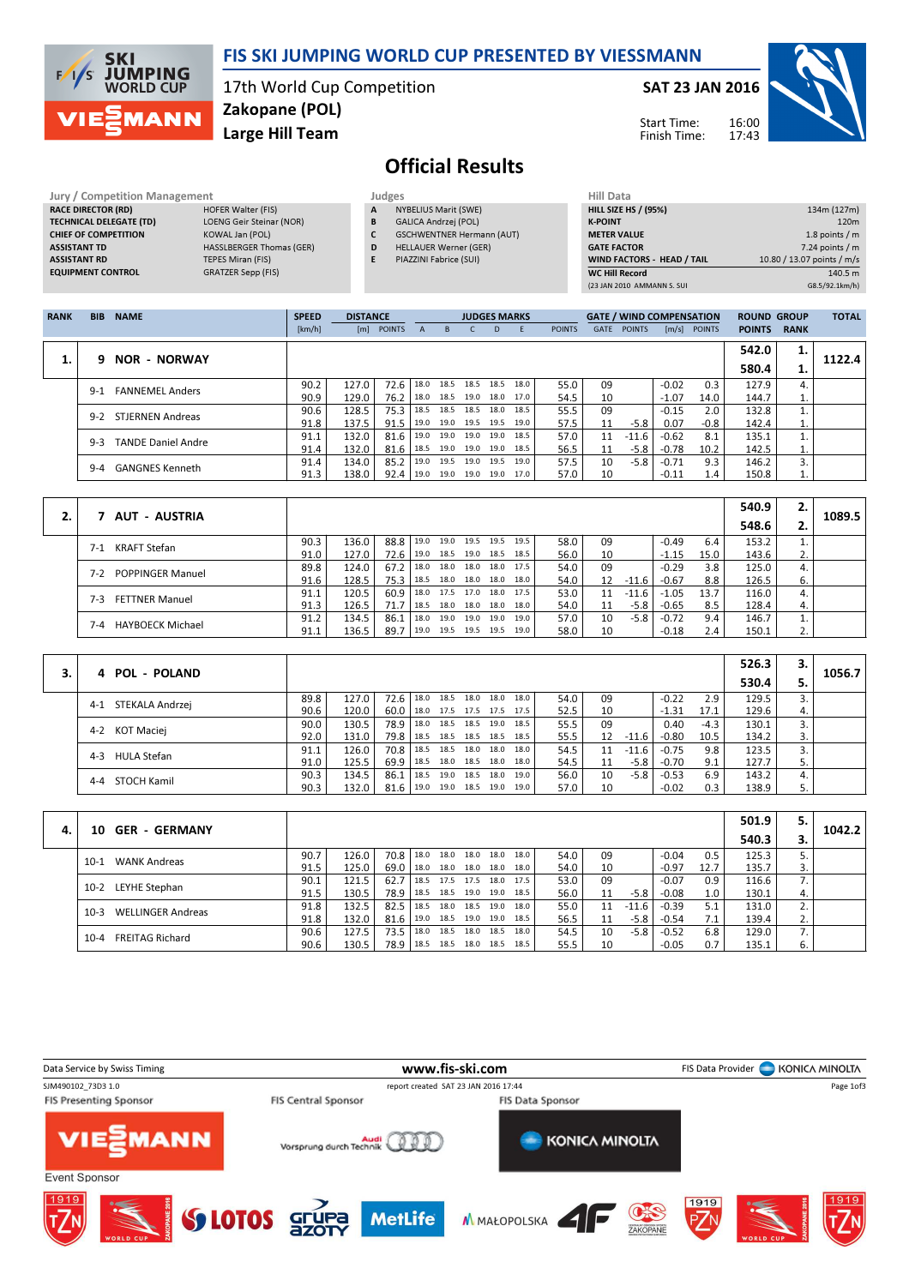

### FIS SKI JUMPING WORLD CUP PRESENTED BY VIESSMANN

17th World Cup Competition Zakopane (POL)

Large Hill Team

#### SAT 23 JAN 2016

Start Time: Finish Time:



# Official Results

- Jury / Competition Management Judges<br>
RACE DIRECTOR (RD) HOFER Walter (FIS) A NY RACE DIRECTOR (RD) TECHNICAL DELEGATE (TD) LOENG Geir Steinar (NOR) CHIEF OF COMPETITION KOWAL Jan (POL) ASSISTANT TD HASSLBERGER Thomas (GER) ASSISTANT RD TEPES Miran (FIS) EQUIPMENT CONTROL GRATZER Sepp (FIS)
	-
	- **NYBELIUS Marit (SWE)** B GALICA Andrzej (POL)
	- C GSCHWENTNER Hermann (AUT)
	- D HELLAUER Werner (GER)
	- E PIAZZINI Fabrice (SUI)

| HIII Data                         |                            |
|-----------------------------------|----------------------------|
| <b>HILL SIZE HS / (95%)</b>       | 134m (127m)                |
| <b>K-POINT</b>                    | 120 <sub>m</sub>           |
| <b>METER VALUE</b>                | 1.8 points $/m$            |
| <b>GATE FACTOR</b>                | $7.24$ points / m          |
| <b>WIND FACTORS - HEAD / TAIL</b> | 10.80 / 13.07 points / m/s |
| <b>WC Hill Record</b>             | 140.5 m                    |
| (23 JAN 2010 AMMANN S. SUI        | G8.5/92.1km/h)             |
|                                   |                            |

| <b>RANK</b> | <b>BIB</b> | <b>NAME</b>               | <b>SPEED</b> | <b>DISTANCE</b> |            |      |           | <b>JUDGES MARKS</b>      |      |      |               |      | <b>GATE / WIND COMPENSATION</b> |         |                | <b>ROUND GROUP</b> |             | <b>TOTAL</b> |
|-------------|------------|---------------------------|--------------|-----------------|------------|------|-----------|--------------------------|------|------|---------------|------|---------------------------------|---------|----------------|--------------------|-------------|--------------|
|             |            |                           | [km/h]       |                 | [m] POINTS | A    | B.        |                          | D.   |      | <b>POINTS</b> | GATE | <b>POINTS</b>                   |         | $[m/s]$ POINTS | <b>POINTS</b>      | <b>RANK</b> |              |
|             |            |                           |              |                 |            |      |           |                          |      |      |               |      |                                 |         |                | 542.0              | ⊥.          |              |
| 1.          | 9.         | <b>NOR - NORWAY</b>       |              |                 |            |      |           |                          |      |      |               |      |                                 |         |                | 580.4              |             | 1122.4       |
|             | $9-1$      | <b>FANNEMEL Anders</b>    | 90.2         | 127.0           | 72.6       | 18.0 | 18.5      | 18.5                     | 18.5 | 18.0 | 55.0          | 09   |                                 | $-0.02$ | 0.3            | 127.9              | 4.          |              |
|             |            |                           | 90.9         | 129.0           | 76.2       | 18.0 | 18.5 19.0 |                          | 18.0 | 17.0 | 54.5          | 10   |                                 | $-1.07$ | 14.0           | 144.7              |             |              |
|             | $9-2$      | <b>STJERNEN Andreas</b>   | 90.6         | 128.5           | 75.3       |      |           | 18.5 18.5 18.5 18.0 18.5 |      |      | 55.5          | 09   |                                 | $-0.15$ | 2.0            | 132.8              |             |              |
|             |            |                           | 91.8         | 137.5           | 91.5       |      |           | 19.0 19.0 19.5 19.5      |      | 19.0 | 57.5          | 11   | -5.8                            | 0.07    | $-0.8$         | 142.4              | ⊥.          |              |
|             | $9 - 3$    | <b>TANDE Daniel Andre</b> | 91.1         | 132.0           | 81.6       | 19.0 | 19.0      | 19.0                     | 19.0 | 18.5 | 57.0          | 11   | $-11.6$                         | $-0.62$ | 8.1            | 135.1              |             |              |
|             |            |                           | 91.4         | 132.0           | 81.6       | 18.5 |           | 19.0 19.0 19.0 18.5      |      |      | 56.5          | 11   | $-5.8$                          | $-0.78$ | 10.2           | 142.5              |             |              |
|             | $9 - 4$    | <b>GANGNES Kenneth</b>    | 91.4         | 134.0           | 85.2       | 19.0 | 19.5      | 19.0                     | 19.5 | 19.0 | 57.5          | 10   | $-5.8$                          | $-0.71$ | 9.3            | 146.2              |             |              |
|             |            |                           | 91.3         | 138.0           | 92.4       | 19.0 | 19.0      | 19.0                     | 19.0 | 17.0 | 57.0          | 10   |                                 | $-0.11$ | 1.4            | 150.8              |             |              |

|    |                                  |      |       |      |           |           |      |                |      |      |    |         |         |      | 540.9 | z.       |        |
|----|----------------------------------|------|-------|------|-----------|-----------|------|----------------|------|------|----|---------|---------|------|-------|----------|--------|
| 2. | <b>AUT - AUSTRIA</b>             |      |       |      |           |           |      |                |      |      |    |         |         |      | 548.6 |          | 1089.5 |
|    | <b>KRAFT Stefan</b><br>$7-1$     | 90.3 | 136.0 | 88.8 | 19.0 19.0 |           | 19.5 | 19.5 19.5      |      | 58.0 | 09 |         | $-0.49$ | 6.4  | 153.2 |          |        |
|    |                                  | 91.0 | 127.0 | 72.6 | 19.0      | 18.5      |      | 19.0 18.5      | 18.5 | 56.0 | 10 |         | $-1.15$ | 15.0 | 143.6 | z.       |        |
|    | <b>POPPINGER Manuel</b><br>$7-2$ | 89.8 | 124.0 | 67.2 |           | 18.0 18.0 |      | 18.0 18.0 17.5 |      | 54.0 | 09 |         | $-0.29$ | 3.8  | 125.0 |          |        |
|    |                                  | 91.6 | 128.5 | 75.3 | 18.5 18.0 |           |      | 18.0 18.0 18.0 |      | 54.0 | 12 | $-11.6$ | $-0.67$ | 8.8  | 126.5 | ь.       |        |
|    | <b>FETTNER Manuel</b><br>7-3     | 91.1 | 120.5 | 60.9 | 18.0 17.5 |           | 17.0 | 18.0 17.5      |      | 53.0 |    | $-11.6$ | $-1.05$ | 13.7 | 116.0 |          |        |
|    |                                  | 91.3 | 126.5 | 71.7 |           | 18.5 18.0 |      | 18.0 18.0 18.0 |      | 54.0 |    | -5.8    | $-0.65$ | 8.5  | 128.4 | 4.       |        |
|    | 7-4                              | 91.2 | 134.5 | 86.1 | 18.0      | 19.0      |      | 19.0 19.0      | 19.0 | 57.0 | 10 | -5.8    | $-0.72$ | 9.4  | 146.7 |          |        |
|    | HAYBOECK Michael                 | 91.1 | 136.5 | 89.7 | 19.0 19.5 |           |      | 19.5 19.5      | 19.0 | 58.0 | 10 |         | $-0.18$ | 2.4  | 150.1 | <b>.</b> |        |

|                               |      |       |        |                     |      |                |      |      |    |         |         |        | 526.3 | 3. |        |
|-------------------------------|------|-------|--------|---------------------|------|----------------|------|------|----|---------|---------|--------|-------|----|--------|
| 4 POL - POLAND                |      |       |        |                     |      |                |      |      |    |         |         |        | 530.4 |    | 1056.7 |
| STEKALA Andrzej<br>$4-1$      | 89.8 | 127.0 | 72.6   | 18.0                |      | 18.5 18.0 18.0 | 18.0 | 54.0 | 09 |         | $-0.22$ | 2.9    | 129.5 |    |        |
|                               | 90.6 | 120.0 | 60.0   | 18.0                |      | 17.5 17.5 17.5 | 17.5 | 52.5 | 10 |         | $-1.31$ | 17.1   | 129.6 | 4. |        |
| 4-2 KOT Maciej                | 90.0 | 130.5 | 78.9   | 18.0                | 18.5 | 18.5 19.0      | 18.5 | 55.5 | 09 |         | 0.40    | $-4.3$ | 130.1 |    |        |
|                               | 92.0 | 131.0 | 79.8   | 18.5                |      | 18.5 18.5 18.5 | 18.5 | 55.5 | 12 | $-11.6$ | $-0.80$ | 10.5   | 134.2 | 3. |        |
| <b>HULA Stefan</b><br>$4 - 3$ | 91.1 | 126.0 | 70.8 l | 18.5                |      | 18.5 18.0 18.0 | 18.0 | 54.5 | 11 | $-11.6$ | $-0.75$ | 9.8    | 123.5 |    |        |
|                               | 91.0 | 125.5 | 69.9   | 18.5                |      | 18.0 18.5 18.0 | 18.0 | 54.5 | 11 | $-5.8$  | -0.70   | 9.1    | 127.7 | 5. |        |
| STOCH Kamil<br>$4 - 4$        | 90.3 | 134.5 | 86.1   | 18.5                |      | 19.0 18.5 18.0 | 19.0 | 56.0 | 10 | $-5.8$  | $-0.53$ | 6.9    | 143.2 | 4. |        |
|                               | 90.3 | 132.0 | 81.6   | 19.0 19.0 18.5 19.0 |      |                | 19.0 | 57.0 | 10 |         | $-0.02$ | 0.3    | 138.9 | 5. |        |

|    |                                    |      |       |        |      |      |                |                |      |      |    |         |         |      | 501.9 |    |        |
|----|------------------------------------|------|-------|--------|------|------|----------------|----------------|------|------|----|---------|---------|------|-------|----|--------|
| 4. | <b>GER - GERMANY</b><br>10         |      |       |        |      |      |                |                |      |      |    |         |         |      | 540.3 |    | 1042.2 |
|    | <b>WANK Andreas</b><br>$10-1$      | 90.7 | 126.0 | 70.8 l | 18.0 | 18.0 | 18.0           | 18.0           | 18.0 | 54.0 | 09 |         | $-0.04$ | 0.5  | 125.3 |    |        |
|    |                                    | 91.5 | 125.0 | 69.0   | 18.0 |      | 18.0 18.0 18.0 |                | 18.0 | 54.0 | 10 |         | $-0.97$ | 12.7 | 135.7 | 3. |        |
|    | LEYHE Stephan<br>10-2              | 90.1 | 121.5 | 62.7   | 18.5 |      | 17.5 17.5      | 18.0           | 17.5 | 53.0 | 09 |         | $-0.07$ | 0.9  | 116.6 |    |        |
|    |                                    | 91.5 | 130.5 | 78.9   | 18.5 | 18.5 | 19.0           | 19.0           | 18.5 | 56.0 | 11 | -5.8    | -0.08   | 1.0  | 130.1 | 4. |        |
|    | <b>WELLINGER Andreas</b><br>$10-3$ | 91.8 | 132.5 | 82.5   | 18.5 | 18.0 | 18.5 19.0      |                | 18.0 | 55.0 | 11 | $-11.6$ | $-0.39$ | 5.1  | 131.0 |    |        |
|    |                                    | 91.8 | 132.0 | 81.6   | 19.0 |      |                | 18.5 19.0 19.0 | 18.5 | 56.5 | 11 | $-5.8$  | $-0.54$ | 7.1  | 139.4 | z. |        |
|    | <b>FREITAG Richard</b>             | 90.6 | 127.5 | 73.5   | 18.0 | 18.5 | 18.0           | 18.5           | 18.0 | 54.5 | 10 | -5.8    | $-0.52$ | 6.8  | 129.0 |    |        |
|    | 10-4                               | 90.6 | 130.5 | 78.9   | 18.5 |      | 18.5 18.0 18.5 |                | 18.5 | 55.5 | 10 |         | $-0.05$ | 0.7  | 135.1 | 6. |        |

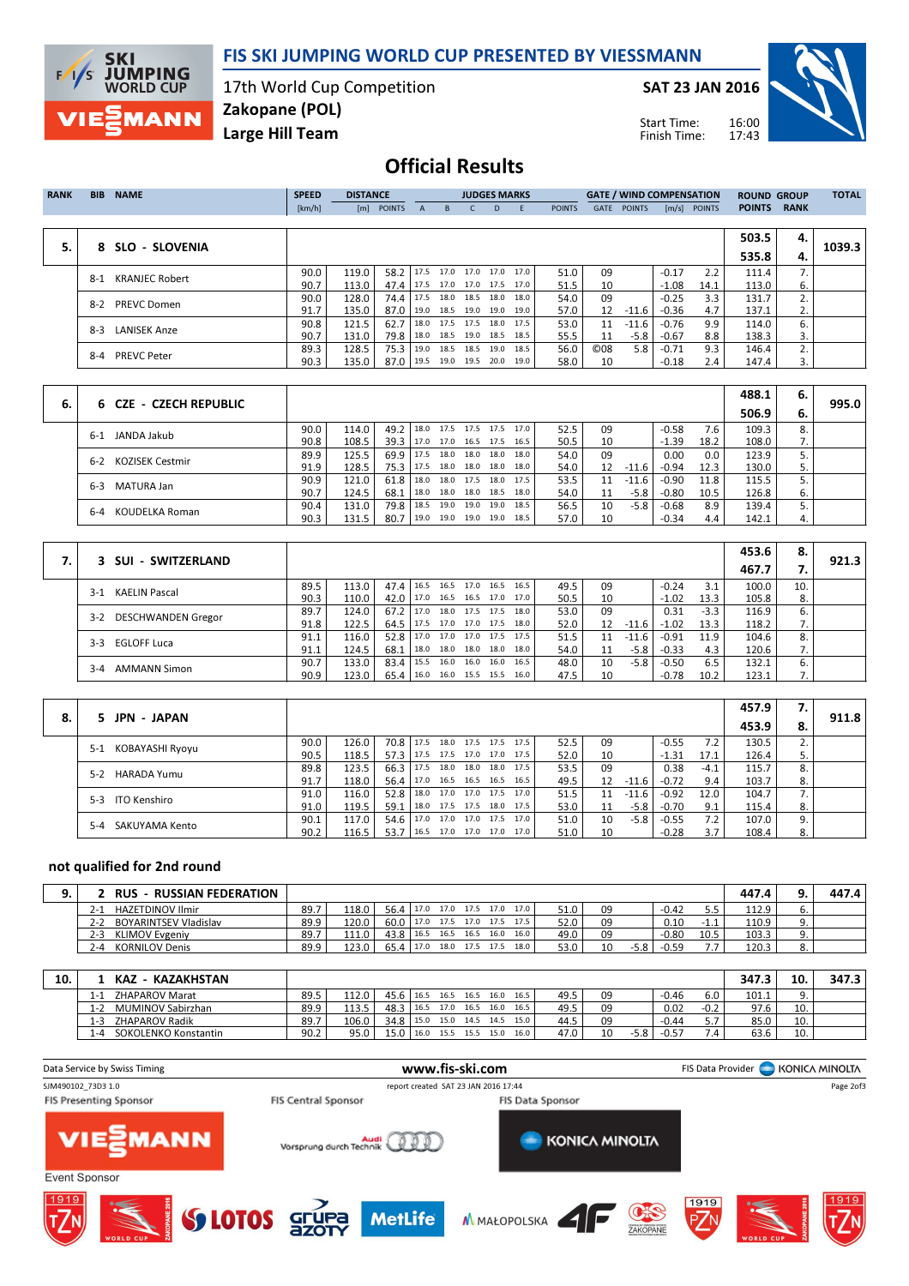

### FIS SKI JUMPING WORLD CUP PRESENTED BY VIESSMANN

17th World Cup Competition Zakopane (POL)

SAT 23 JAN 2016

Start Time: Finish Time:



Large Hill Team

# Official Results

| <b>RANK</b> | <b>BIB</b> | <b>NAME</b>           | <b>SPEED</b><br><b>DISTANCE</b><br><b>JUDGES MARKS</b> |       |                                 |                | <b>GATE / WIND COMPENSATION</b> |           |      | <b>ROUND GROUP</b> |               | <b>TOTAL</b>    |               |                     |                  |               |             |        |
|-------------|------------|-----------------------|--------------------------------------------------------|-------|---------------------------------|----------------|---------------------------------|-----------|------|--------------------|---------------|-----------------|---------------|---------------------|------------------|---------------|-------------|--------|
|             |            |                       | [km/h]                                                 |       | [m] POINTS                      | $\mathsf{A}$   | B.                              |           | D.   | -F                 | <b>POINTS</b> | GATE            | <b>POINTS</b> | $\lceil m/s \rceil$ | <b>POINTS</b>    | <b>POINTS</b> | <b>RANK</b> |        |
|             |            |                       |                                                        |       |                                 |                |                                 |           |      |                    |               |                 |               |                     |                  |               |             |        |
|             |            |                       |                                                        |       |                                 |                |                                 |           |      |                    |               |                 |               |                     |                  | 503.5         | 4.          |        |
| 5.          | 8.         | SLO - SLOVENIA        |                                                        |       |                                 |                |                                 |           |      |                    |               |                 |               |                     |                  | 535.8         | 4.          | 1039.3 |
|             | $8-1$      | <b>KRANJEC Robert</b> | 90.0                                                   | 119.0 | 58.2 17.5 17.0 17.0 17.0 17.0   |                |                                 |           |      |                    | 51.0          | 09              |               | $-0.17$             | 2.2              | 111.4         | 7.          |        |
|             |            |                       | 90.7                                                   | 113.0 | 47.4                            |                | 17.5 17.0 17.0 17.5 17.0        |           |      |                    | 51.5          | 10              |               | $-1.08$             | 14.1             | 113.0         | 6.          |        |
|             | $8-2$      | <b>PREVC Domen</b>    | 90.0                                                   | 128.0 | 74.4                            |                | 17.5 18.0                       | 18.5 18.0 |      | 18.0               | 54.0          | 09              |               | $-0.25$             | 3.3              | 131.7         |             |        |
|             |            |                       | 91.7                                                   | 135.0 | 87.0   19.0 18.5 19.0 19.0 19.0 |                |                                 |           |      |                    | 57.0          | 12              | -11.6         | $-0.36$             | 4.7              | 137.1         | 2.          |        |
|             | $8-3$      | <b>LANISEK Anze</b>   | 90.8                                                   | 121.5 | 62.7                            |                | 18.0 17.5 17.5                  |           |      | 18.0 17.5          | 53.0          | 11              | $-11.6$       | $-0.76$             | 9.9              | 114.0         | 6.          |        |
|             |            |                       | 90.7                                                   | 131.0 | 79.8                            |                | 18.0 18.5 19.0 18.5 18.5        |           |      |                    | 55.5          | 11              | -5.8          | $-0.67$             | 8.8              | 138.3         | 3.          |        |
|             | 8-4        | <b>PREVC Peter</b>    | 89.3                                                   | 128.5 | 75.3                            |                | 19.0 18.5 18.5 19.0 18.5        |           |      |                    | 56.0          | C <sub>08</sub> | 5.8           | $-0.71$             | 9.3              | 146.4         | 2.          |        |
|             |            |                       | 90.3                                                   | 135.0 | 87.0                            | 19.5 19.0 19.5 |                                 |           | 20.0 | 19.0               | 58.0          | 10              |               | $-0.18$             | 2.4 <sub>1</sub> | 147.4         |             |        |

|    | 6 CZE - CZECH REPUBLIC   |      |       |      |       |      |                     |      |      |    |         |         |      | 488.1 | 6.  | 995.0 |
|----|--------------------------|------|-------|------|-------|------|---------------------|------|------|----|---------|---------|------|-------|-----|-------|
| 6. |                          |      |       |      |       |      |                     |      |      |    |         |         |      | 506.9 | -6. |       |
|    | JANDA Jakub<br>$6-1$     | 90.0 | 114.0 | 49.2 | 13.0  | 17.5 | 17.5 17.5 17.0      |      | 52.5 | 09 |         | $-0.58$ | 7.6  | 109.3 | 8.  |       |
|    |                          | 90.8 | 108.5 | 39.3 | 17.0  |      | 17.0 16.5 17.5 16.5 |      | 50.5 | 10 |         | $-1.39$ | 18.2 | 108.0 | 7.  |       |
|    | KOZISEK Cestmir<br>$6-2$ | 89.9 | 125.5 | 69.9 | 117.5 | 18.0 | 18.0 18.0           | 18.0 | 54.0 | 09 |         | 0.00    | 0.0  | 123.9 |     |       |
|    |                          | 91.9 | 128.5 | 75.3 | 17.5  | 18.0 | 18.0 18.0           | 18.0 | 54.0 | 12 | $-11.6$ | $-0.94$ | 12.3 | 130.0 | 5.  |       |
|    | MATURA Jan<br>$6 - 3$    | 90.9 | 121.0 | 61.8 | 18.0  | 18.0 | 17.5 18.0 17.5      |      | 53.5 |    | $-11.6$ | $-0.90$ | 11.8 | 115.5 |     |       |
|    |                          | 90.7 | 124.5 | 68.1 | 18.0  | 18.0 | 18.0 18.5           | 18.0 | 54.0 |    | $-5.8$  | $-0.80$ | 10.5 | 126.8 | 6.  |       |
|    | KOUDELKA Roman<br>6-4    | 90.4 | 131.0 | 79.8 | 18.5  | 19.0 | 19.0 19.0           | 18.5 | 56.5 | 10 | $-5.8$  | $-0.68$ | 8.9  | 139.4 |     |       |
|    |                          | 90.3 | 131.5 | 80.  | 19.0  | 19.0 | 19.0 19.0           | 18.5 | 57.0 | 10 |         | $-0.34$ | 4.4  | 142.1 | 4.  |       |

| 7. | 3 SUI - SWITZERLAND         |      |       |        |      |      |      |                |      |      |    |         |         |        | 453.6 | 8.         | 921.3 |
|----|-----------------------------|------|-------|--------|------|------|------|----------------|------|------|----|---------|---------|--------|-------|------------|-------|
|    |                             |      |       |        |      |      |      |                |      |      |    |         |         |        | 467.7 |            |       |
|    | 3-1 KAELIN Pascal           | 89.5 | 113.0 | 47.4   | 16.5 | 16.5 |      | 17.0 16.5      | 16.5 | 49.5 | 09 |         | $-0.24$ | 3.1    | 100.0 | 10.        |       |
|    |                             | 90.3 | 110.0 | 42.0   | 17.0 | 16.5 |      | 16.5 17.0      | 17.0 | 50.5 | 10 |         | $-1.02$ | 13.3   | 105.8 | 8.         |       |
|    | 3-2 DESCHWANDEN Gregor      | 89.7 | 124.0 | 67.2   | 17.0 | 18.0 |      | 17.5 17.5      | 18.0 | 53.0 | 09 |         | 0.31    | $-3.3$ | 116.9 |            |       |
|    |                             | 91.8 | 122.5 | 64.5 l | 17.5 |      |      | 17.0 17.0 17.5 | 18.0 | 52.0 | 12 | $-11.6$ | $-1.02$ | 13.3   | 118.2 |            |       |
|    | <b>EGLOFF Luca</b><br>$3-3$ | 91.1 | 116.0 | 52.8   | 17.0 | 17.0 |      | 17.0 17.5      | 17.5 | 51.5 | 11 | $-11.6$ | $-0.91$ | 11.9   | 104.6 | 8.         |       |
|    |                             | 91.1 | 124.5 | 68.1   | 18.0 | 18.0 |      | 18.0 18.0      | 18.0 | 54.0 | 11 | $-5.8$  | $-0.33$ | 4.3    | 120.6 |            |       |
|    | $3 - 4$                     | 90.7 | 133.0 | 83.4   | 15.5 | 16.0 | 16.0 | 16.0           | 16.5 | 48.0 | 10 | $-5.8$  | $-0.50$ | 6.5    | 132.1 | 6.         |       |
|    | <b>AMMANN Simon</b>         | 90.9 | 123.0 | 65.4   | 16.0 |      |      | 16.0 15.5 15.5 | 16.0 | 47.5 | 10 |         | $-0.78$ | 10.2   | 123.1 | $\prime$ . |       |

|    | 5 JPN - JAPAN               |      |       |                   |                          |      |                     |      |      |    |         |         |        | 457.9 | 7.   | 911.8 |
|----|-----------------------------|------|-------|-------------------|--------------------------|------|---------------------|------|------|----|---------|---------|--------|-------|------|-------|
| 8. |                             |      |       |                   |                          |      |                     |      |      |    |         |         |        | 453.9 | 8.   |       |
|    | KOBAYASHI Ryoyu<br>5-1      | 90.0 | 126.0 | 70.8 17.5         |                          |      | 18.0 17.5 17.5 17.5 |      | 52.5 | 09 |         | $-0.55$ | 7.2    | 130.5 |      |       |
|    |                             | 90.5 | 118.5 | 57.3 17.5         |                          |      | 17.5 17.0 17.0 17.5 |      | 52.0 | 10 |         | $-1.31$ | 17.1   | 126.4 | 5.   |       |
|    | <b>HARADA Yumu</b><br>$5-2$ | 89.8 | 123.5 | $66.3$   17.5     |                          | 18.0 | 18.0 18.0 17.5      |      | 53.5 | 09 |         | 0.38    | $-4.1$ | 115.7 |      |       |
|    |                             | 91.7 | 118.0 |                   | 56.4 17.0 16.5 16.5 16.5 |      |                     | 16.5 | 49.5 | 12 | $-11.6$ | $-0.72$ | 9.4    | 103.7 | 8.   |       |
|    | ITO Kenshiro<br>5-3         | 91.0 | 116.0 | 52.8              | 18.0                     | 17.0 | 17.0 17.5           | 17.0 | 51.5 | 11 | $-11.6$ | $-0.92$ | 12.0   | 104.7 | 7. I |       |
|    |                             | 91.0 | 119.5 | 59.1              | 18.0 17.5 17.5 18.0 17.5 |      |                     |      | 53.0 |    | $-5.8$  | $-0.70$ | 9.1    | 115.4 | 8.   |       |
|    | SAKUYAMA Kento<br>$5 - 4$   | 90.1 | 117.0 | $54.6$   17.0     |                          | 17.0 | 17.0 17.5 17.0      |      | 51.0 | 10 | -5.8    | $-0.55$ | 7.2    | 107.0 | 9.   |       |
|    |                             | 90.2 | 116.5 | 53.7 <sub>1</sub> | 16.5                     |      | 17.0 17.0 17.0 17.0 |      | 51.0 | 10 |         | $-0.28$ | 3.7    | 108.4 | 8.   |       |

#### not qualified for 2nd round

| <b>RUS - RUSSIAN FEDERATION</b>     |      |       |           |                     |           |      |      |      |      |    |        |         |      | 447.4 |    | 447.4 |
|-------------------------------------|------|-------|-----------|---------------------|-----------|------|------|------|------|----|--------|---------|------|-------|----|-------|
| <b>HAZETDINOV Ilmir</b><br>z-1      | 89.7 | 118.0 | 56.4      | 17.0 17.0 17.5 17.0 |           |      |      | 17.0 | 51.0 | 09 |        | $-0.42$ |      | 112.9 | υ. |       |
| <b>BOYARINTSEV Vladislav</b><br>2-2 | 89.9 | 120.0 | 60.0 17.0 |                     | 17.5      | 17.0 | 17.5 | 17.5 | 52.0 | 09 |        | 0.10    |      | 110.9 |    |       |
| <b>KLIMOV Evgeniy</b><br>2-3        | 89.7 | 111.0 | 43.8      | 16.5                | 16.5 16.5 |      | 16.0 | 16.0 | 49.0 | 09 |        | $-0.80$ | 10.5 | 103.3 |    |       |
| <b>KORNILOV Denis</b><br>7 – L      | 89.9 | 123.0 | 65.4      | 17.0                | 18.0 17.5 |      | 17.5 | 18.0 | 53.0 |    | $-5.8$ | $-0.59$ |      | 120.3 | ο. |       |

| 10. | - KAZAKHSTAN<br>KAZ             |      |       |      |      |      |           |      |      |      |    |        |           |           | 347.3 | 10  | 347.3 |
|-----|---------------------------------|------|-------|------|------|------|-----------|------|------|------|----|--------|-----------|-----------|-------|-----|-------|
|     | <b>ZHAPAROV Marat</b>           | 89.5 | 112.0 | 45.6 | 16.5 | 16.5 | 16.5 16.0 |      | 16.5 | 49.5 | 09 |        | $-0.46$   | 6.0       | 101.1 |     |       |
|     | <b>MUMINOV Sabirzhan</b><br>- 2 | 89.9 | 113.5 | 48.3 | 16.5 | 17.0 | 16.5      | 16.0 | 16.5 | 49.5 | 09 |        | 0.02      | $-0.2$    | 97.6  | 10. |       |
|     | <b>ZHAPAROV Radik</b><br>-3     | 89.7 | 106.0 | 34.8 | 15.0 | 15.0 | 14.5      | 14.5 | 15.0 | 44.5 | 09 |        | 0.44      | 57<br>، ب | 85.0  | 10. |       |
|     | SOKOLENKO Konstantin<br>$-4$    | 90.2 | 95.0  |      | 16.0 | 15.5 | 15.5      | 15.0 | 16.0 | 47.0 |    | $-5.8$ | $0.5^{-}$ |           | 63.6  | 10  |       |

| Data Service by Swiss Timing                  | www.fis-ski.com                  |                                      |                                 |  |  |  |  |  |  |
|-----------------------------------------------|----------------------------------|--------------------------------------|---------------------------------|--|--|--|--|--|--|
| SJM490102 73D3 1.0                            |                                  | report created SAT 23 JAN 2016 17:44 | Page 2of3                       |  |  |  |  |  |  |
| <b>FIS Presenting Sponsor</b>                 | <b>FIS Central Sponsor</b>       | FIS Data Sponsor                     |                                 |  |  |  |  |  |  |
| <b>VIE MANN</b><br><b>Event Sponsor</b>       | Audi<br>Vorsprung durch Technik  | <b>KONICA MINOLTA</b>                |                                 |  |  |  |  |  |  |
| 1919<br><b>SS LOTOS</b><br><b>WARLER CILE</b> | Grupa<br>azory<br><b>MetLife</b> | CAS<br>MMAŁOPOLSKA A<br>ZAKOPANE     | 1919<br>1919<br><b>WARLERTH</b> |  |  |  |  |  |  |